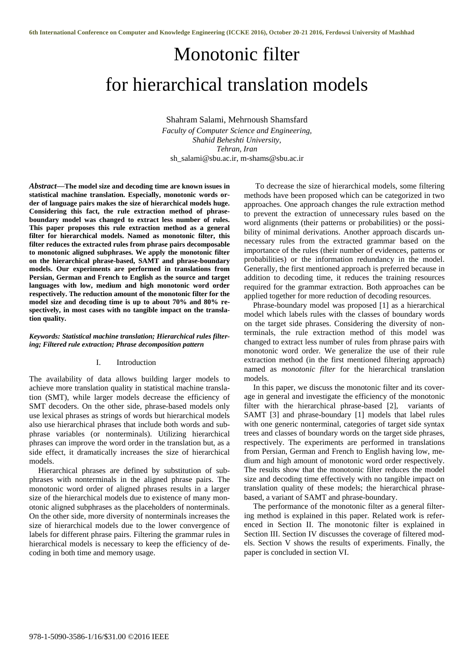# Monotonic filter for hierarchical translation models

Shahram Salami, Mehrnoush Shamsfard *Faculty of Computer Science and Engineering, Shahid Beheshti University, Tehran, Iran* sh\_salami@sbu.ac.ir, m-shams@sbu.ac.ir

*Abstract***—The model size and decoding time are known issues in statistical machine translation. Especially, monotonic words order of language pairs makes the size of hierarchical models huge. Considering this fact, the rule extraction method of phraseboundary model was changed to extract less number of rules. This paper proposes this rule extraction method as a general filter for hierarchical models. Named as monotonic filter, this filter reduces the extracted rules from phrase pairs decomposable to monotonic aligned subphrases. We apply the monotonic filter on the hierarchical phrase-based, SAMT and phrase-boundary models. Our experiments are performed in translations from Persian, German and French to English as the source and target languages with low, medium and high monotonic word order respectively. The reduction amount of the monotonic filter for the model size and decoding time is up to about 70% and 80% respectively, in most cases with no tangible impact on the translation quality.**

#### *Keywords: Statistical machine translation; Hierarchical rules filtering; Filtered rule extraction; Phrase decomposition pattern*

# I. Introduction

The availability of data allows building larger models to achieve more translation quality in statistical machine translation (SMT), while larger models decrease the efficiency of SMT decoders. On the other side, phrase-based models only use lexical phrases as strings of words but hierarchical models also use hierarchical phrases that include both words and subphrase variables (or nonterminals). Utilizing hierarchical phrases can improve the word order in the translation but, as a side effect, it dramatically increases the size of hierarchical models.

Hierarchical phrases are defined by substitution of subphrases with nonterminals in the aligned phrase pairs. The monotonic word order of aligned phrases results in a larger size of the hierarchical models due to existence of many monotonic aligned subphrases as the placeholders of nonterminals. On the other side, more diversity of nonterminals increases the size of hierarchical models due to the lower convergence of labels for different phrase pairs. Filtering the grammar rules in hierarchical models is necessary to keep the efficiency of decoding in both time and memory usage.

To decrease the size of hierarchical models, some filtering methods have been proposed which can be categorized in two approaches. One approach changes the rule extraction method to prevent the extraction of unnecessary rules based on the word alignments (their patterns or probabilities) or the possibility of minimal derivations. Another approach discards unnecessary rules from the extracted grammar based on the importance of the rules (their number of evidences, patterns or probabilities) or the information redundancy in the model. Generally, the first mentioned approach is preferred because in addition to decoding time, it reduces the training resources required for the grammar extraction. Both approaches can be applied together for more reduction of decoding resources.

Phrase-boundary model was proposed [1] as a hierarchical model which labels rules with the classes of boundary words on the target side phrases. Considering the diversity of nonterminals, the rule extraction method of this model was changed to extract less number of rules from phrase pairs with monotonic word order. We generalize the use of their rule extraction method (in the first mentioned filtering approach) named as *monotonic filter* for the hierarchical translation models.

In this paper, we discuss the monotonic filter and its coverage in general and investigate the efficiency of the monotonic filter with the hierarchical phrase-based [2], variants of SAMT [3] and phrase-boundary [1] models that label rules with one generic nonterminal, categories of target side syntax trees and classes of boundary words on the target side phrases, respectively. The experiments are performed in translations from Persian, German and French to English having low, medium and high amount of monotonic word order respectively. The results show that the monotonic filter reduces the model size and decoding time effectively with no tangible impact on translation quality of these models; the hierarchical phrasebased, a variant of SAMT and phrase-boundary.

The performance of the monotonic filter as a general filtering method is explained in this paper. Related work is referenced in Section II. The monotonic filter is explained in Section III. Section IV discusses the coverage of filtered models. Section V shows the results of experiments. Finally, the paper is concluded in section VI.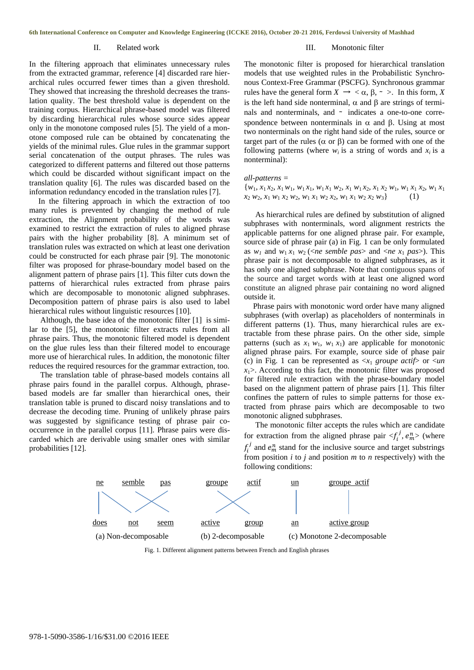## II. Related work

#### III. Monotonic filter

In the filtering approach that eliminates unnecessary rules from the extracted grammar, reference [4] discarded rare hierarchical rules occurred fewer times than a given threshold. They showed that increasing the threshold decreases the translation quality. The best threshold value is dependent on the training corpus. Hierarchical phrase-based model was filtered by discarding hierarchical rules whose source sides appear only in the monotone composed rules [5]. The yield of a monotone composed rule can be obtained by concatenating the yields of the minimal rules. Glue rules in the grammar support serial concatenation of the output phrases. The rules was categorized to different patterns and filtered out those patterns which could be discarded without significant impact on the translation quality [6]. The rules was discarded based on the information redundancy encoded in the translation rules [7].

In the filtering approach in which the extraction of too many rules is prevented by changing the method of rule extraction, the Alignment probability of the words was examined to restrict the extraction of rules to aligned phrase pairs with the higher probability [8]. A minimum set of translation rules was extracted on which at least one derivation could be constructed for each phrase pair [9]. The monotonic filter was proposed for phrase-boundary model based on the alignment pattern of phrase pairs [1]. This filter cuts down the patterns of hierarchical rules extracted from phrase pairs which are decomposable to monotonic aligned subphrases. Decomposition pattern of phrase pairs is also used to label hierarchical rules without linguistic resources [10].

Although, the base idea of the monotonic filter [1] is similar to the [5], the monotonic filter extracts rules from all phrase pairs. Thus, the monotonic filtered model is dependent on the glue rules less than their filtered model to encourage more use of hierarchical rules. In addition, the monotonic filter reduces the required resources for the grammar extraction, too.

The translation table of phrase-based models contains all phrase pairs found in the parallel corpus. Although, phrasebased models are far smaller than hierarchical ones, their translation table is pruned to discard noisy translations and to decrease the decoding time. Pruning of unlikely phrase pairs was suggested by significance testing of phrase pair cooccurrence in the parallel corpus [11]. Phrase pairs were discarded which are derivable using smaller ones with similar probabilities [12].

The monotonic filter is proposed for hierarchical translation models that use weighted rules in the Probabilistic Synchronous Context-Free Grammar (PSCFG). Synchronous grammar rules have the general form  $X \to \langle \alpha, \beta, \gamma \rangle$ . In this form, X is the left hand side nonterminal,  $\alpha$  and  $\beta$  are strings of terminals and nonterminals, and ∼ indicates a one-to-one correspondence between nonterminals in  $\alpha$  and  $\beta$ . Using at most two nonterminals on the right hand side of the rules, source or target part of the rules ( $\alpha$  or  $\beta$ ) can be formed with one of the following patterns (where  $w_i$  is a string of words and  $x_i$  is a nonterminal):

## *all-patterns =*

 ${w_1, x_1 x_2, x_1 w_1, w_1 x_1, w_1 x_1 w_2, x_1 w_1 x_2, x_1 x_2 w_1, w_1 x_1 x_2, w_1 x_1$ *x*<sup>2</sup> *w*2, *x*<sup>1</sup> *w*<sup>1</sup> *x*<sup>2</sup> *w*2, *w*<sup>1</sup> *x*<sup>1</sup> *w*<sup>2</sup> *x*2, *w*<sup>1</sup> *x*<sup>1</sup> *w*<sup>2</sup> *x*<sup>2</sup> *w*3} (1)

As hierarchical rules are defined by substitution of aligned subphrases with nonterminals, word alignment restricts the applicable patterns for one aligned phrase pair. For example, source side of phrase pair (a) in Fig. 1 can be only formulated as  $w_1$  and  $w_1 x_1 w_2$  (<*ne semble pas*> and <*ne*  $x_1$  *pas*>). This phrase pair is not decomposable to aligned subphrases, as it has only one aligned subphrase. Note that contiguous spans of the source and target words with at least one aligned word constitute an aligned phrase pair containing no word aligned outside it.

Phrase pairs with monotonic word order have many aligned subphrases (with overlap) as placeholders of nonterminals in different patterns (1). Thus, many hierarchical rules are extractable from these phrase pairs. On the other side, simple patterns (such as  $x_1 w_1$ ,  $w_1 x_1$ ) are applicable for monotonic aligned phrase pairs. For example, source side of phase pair (c) in Fig. 1 can be represented as  $\langle x_1 \rangle$  *groupe actif*  $>$  or  $\langle \langle u \rangle$  $x_1$ >. According to this fact, the monotonic filter was proposed for filtered rule extraction with the phrase-boundary model based on the alignment pattern of phrase pairs [1]. This filter confines the pattern of rules to simple patterns for those extracted from phrase pairs which are decomposable to two monotonic aligned subphrases.

The monotonic filter accepts the rules which are candidate for extraction from the aligned phrase pair  $\langle f_i^j, e_m^n \rangle$  (where  $f_i^j$  and  $e_m^n$  stand for the inclusive source and target substrings from position *i* to *j* and position *m* to *n* respectively) with the following conditions:



Fig. 1. Different alignment patterns between French and English phrases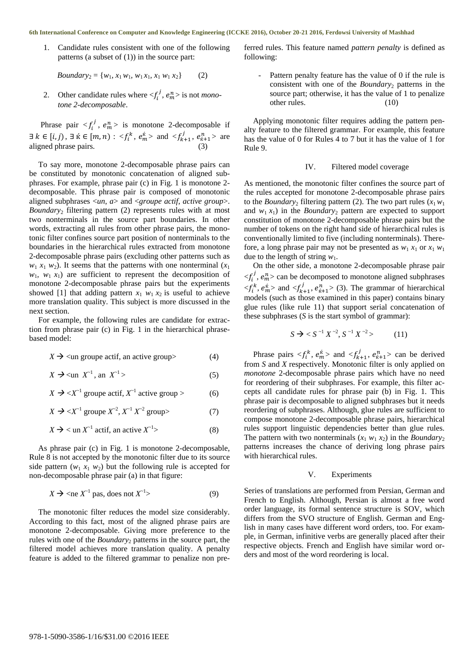#### **6th International Conference on Computer and Knowledge Engineering (ICCKE 2016), October 20-21 2016, Ferdowsi University of Mashhad**

1. Candidate rules consistent with one of the following patterns (a subset of (1)) in the source part:

*Boundary*<sub>2</sub> = { $w_1$ ,  $x_1 w_1$ ,  $w_1 x_1$ ,  $x_1 w_1 x_2$ } (2)

2. Other candidate rules where  $\langle f_i^j, e_m^n \rangle$  is not *monotone 2-decomposable*.

Phrase pair  $\langle f_i^j, e_m^n \rangle$  is monotone 2-decomposable if  $\exists k \in [i, j), \exists k \in [m, n) : \langle f_i^k, e_m^k \rangle \text{ and } \langle f_{k+1}^j, e_{k+1}^n \rangle \text{ are }$ aligned phrase pairs. (3)

To say more, monotone 2-decomposable phrase pairs can be constituted by monotonic concatenation of aligned subphrases. For example, phrase pair (c) in Fig. 1 is monotone 2 decomposable. This phrase pair is composed of monotonic aligned subphrases <*un*, *a*> and <*groupe actif*, *active group*>. *Boundary*<sup>2</sup> filtering pattern (2) represents rules with at most two nonterminals in the source part boundaries. In other words, extracting all rules from other phrase pairs, the monotonic filter confines source part position of nonterminals to the boundaries in the hierarchical rules extracted from monotone 2-decomposable phrase pairs (excluding other patterns such as  $w_1 x_1 w_2$ ). It seems that the patterns with one nonterminal  $(x_1)$  $w_1$ ,  $w_1$ ,  $x_1$ ) are sufficient to represent the decomposition of monotone 2-decomposable phrase pairs but the experiments showed [1] that adding pattern  $x_1$   $w_1$   $x_2$  is useful to achieve more translation quality. This subject is more discussed in the next section.

For example, the following rules are candidate for extraction from phrase pair (c) in Fig. 1 in the hierarchical phrasebased model:

 $X \rightarrow \text{un groupe actif, an active group}$  (4)

 $X \rightarrow \text{un } X^{-1}$ , an *X*  $z^{-1}$  > (5)

- $X \to \langle X^{-1}$  groupe actif,  $X^{-1}$  active group > (6)
- $X \to \langle X^{-1} \text{ groupe } X^{-2}, X^{-1} X^{-2} \text{ group} \rangle$  (7)

$$
X \to \text{un } X^{-1} \text{ actif, an active } X^{-1} \tag{8}
$$

As phrase pair (c) in Fig. 1 is monotone 2-decomposable, Rule 8 is not accepted by the monotonic filter due to its source side pattern  $(w_1, x_1, w_2)$  but the following rule is accepted for non-decomposable phrase pair (a) in that figure:

$$
X \to \langle \text{ne } X^{-1} \text{ pas, does not } X^{-1} \rangle \tag{9}
$$

The monotonic filter reduces the model size considerably. According to this fact, most of the aligned phrase pairs are monotone 2-decomposable. Giving more preference to the rules with one of the *Boundary*<sup>2</sup> patterns in the source part, the filtered model achieves more translation quality. A penalty feature is added to the filtered grammar to penalize non preferred rules. This feature named *pattern penalty* is defined as following:

Pattern penalty feature has the value of 0 if the rule is consistent with one of the *Boundary*<sub>2</sub> patterns in the source part; otherwise, it has the value of 1 to penalize other rules. (10)

Applying monotonic filter requires adding the pattern penalty feature to the filtered grammar. For example, this feature has the value of 0 for Rules 4 to 7 but it has the value of 1 for Rule 9.

### IV. Filtered model coverage

As mentioned, the monotonic filter confines the source part of the rules accepted for monotone 2-decomposable phrase pairs to the *Boundary*<sub>2</sub> filtering pattern (2). The two part rules  $(x_1w_1)$ and  $w_1 x_1$ ) in the *Boundary*<sub>2</sub> pattern are expected to support constitution of monotone 2-decomposable phrase pairs but the number of tokens on the right hand side of hierarchical rules is conventionally limited to five (including nonterminals). Therefore, a long phrase pair may not be presented as  $w_1 x_1$  or  $x_1 w_1$ due to the length of string  $w_1$ .

On the other side, a monotone 2-decomposable phrase pair  $\langle f_i^j, e_m^n \rangle$  can be decomposed to monotone aligned subphrases  $\langle f_i^k, e_m^k \rangle$  and  $\langle f_{k+1}^j, e_{k+1}^n \rangle$  (3). The grammar of hierarchical models (such as those examined in this paper) contains binary glue rules (like rule 11) that support serial concatenation of these subphrases (*S* is the start symbol of grammar):

$$
S \to S^{-1} X^{-2}, S^{-1} X^{-2} > (11)
$$

Phrase pairs  $\langle f_i^k, e_m^{\hat{k}} \rangle$  and  $\langle f_{k+1}^j, e_{\hat{k}+1}^n \rangle$  can be derived from *S* and *X* respectively. Monotonic filter is only applied on *monotone* 2-decomposable phrase pairs which have no need for reordering of their subphrases. For example, this filter accepts all candidate rules for phrase pair (b) in Fig. 1. This phrase pair is decomposable to aligned subphrases but it needs reordering of subphrases. Although, glue rules are sufficient to compose monotone 2-decomposable phrase pairs, hierarchical rules support linguistic dependencies better than glue rules. The pattern with two nonterminals  $(x_1 w_1 x_2)$  in the *Boundary*<sub>2</sub> patterns increases the chance of deriving long phrase pairs with hierarchical rules.

#### V. Experiments

Series of translations are performed from Persian, German and French to English. Although, Persian is almost a free word order language, its formal sentence structure is SOV, which differs from the SVO structure of English. German and English in many cases have different word orders, too. For example, in German, infinitive verbs are generally placed after their respective objects. French and English have similar word orders and most of the word reordering is local.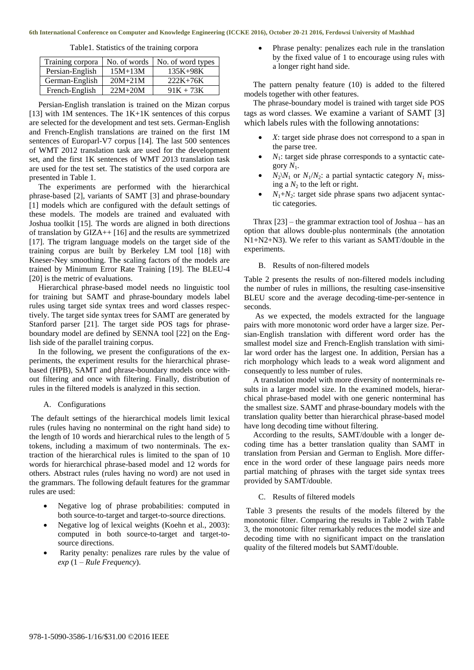Table1. Statistics of the training corpora

| Training corpora | No. of words | No. of word types |
|------------------|--------------|-------------------|
| Persian-English  | $15M+13M$    | $135K+98K$        |
| German-English   | $20M + 21M$  | $222K+76K$        |
| French-English   | $22M+20M$    | $91K + 73K$       |

Persian-English translation is trained on the Mizan corpus [13] with 1M sentences. The  $1K+1K$  sentences of this corpus are selected for the development and test sets. German-English and French-English translations are trained on the first 1M sentences of Europarl-V7 corpus [14]. The last 500 sentences of WMT 2012 translation task are used for the development set, and the first 1K sentences of WMT 2013 translation task are used for the test set. The statistics of the used corpora are presented in Table 1.

The experiments are performed with the hierarchical phrase-based [2], variants of SAMT [3] and phrase-boundary [1] models which are configured with the default settings of these models. The models are trained and evaluated with Joshua toolkit [15]. The words are aligned in both directions of translation by GIZA++ [16] and the results are symmetrized [17]. The trigram language models on the target side of the training corpus are built by Berkeley LM tool [18] with Kneser-Ney smoothing. The scaling factors of the models are trained by Minimum Error Rate Training [19]. The BLEU-4 [20] is the metric of evaluations.

Hierarchical phrase-based model needs no linguistic tool for training but SAMT and phrase-boundary models label rules using target side syntax trees and word classes respectively. The target side syntax trees for SAMT are generated by Stanford parser [21]. The target side POS tags for phraseboundary model are defined by SENNA tool [22] on the English side of the parallel training corpus.

In the following, we present the configurations of the experiments, the experiment results for the hierarchical phrasebased (HPB), SAMT and phrase-boundary models once without filtering and once with filtering. Finally, distribution of rules in the filtered models is analyzed in this section.

#### A. Configurations

The default settings of the hierarchical models limit lexical rules (rules having no nonterminal on the right hand side) to the length of 10 words and hierarchical rules to the length of 5 tokens, including a maximum of two nonterminals. The extraction of the hierarchical rules is limited to the span of 10 words for hierarchical phrase-based model and 12 words for others. Abstract rules (rules having no word) are not used in the grammars. The following default features for the grammar rules are used:

- Negative log of phrase probabilities: computed in both source-to-target and target-to-source directions.
- Negative log of lexical weights (Koehn et al., 2003): computed in both source-to-target and target-tosource directions.
- Rarity penalty: penalizes rare rules by the value of *exp* (1 – *Rule Frequency*).

 Phrase penalty: penalizes each rule in the translation by the fixed value of 1 to encourage using rules with a longer right hand side.

The pattern penalty feature (10) is added to the filtered models together with other features.

The phrase-boundary model is trained with target side POS tags as word classes. We examine a variant of SAMT [3] which labels rules with the following annotations:

- *X*: target side phrase does not correspond to a span in the parse tree.
- *N*<sub>1</sub>: target side phrase corresponds to a syntactic category  $N_1$ .
- $N_2$  $N_1$  or  $N_1/N_2$ : a partial syntactic category  $N_1$  missing a  $N_2$  to the left or right.
- $N_1 + N_2$ : target side phrase spans two adjacent syntactic categories.

Thrax [23] – the grammar extraction tool of Joshua – has an option that allows double-plus nonterminals (the annotation N1+N2+N3). We refer to this variant as SAMT/double in the experiments.

## B. Results of non-filtered models

Table 2 presents the results of non-filtered models including the number of rules in millions, the resulting case-insensitive BLEU score and the average decoding-time-per-sentence in seconds.

As we expected, the models extracted for the language pairs with more monotonic word order have a larger size. Persian-English translation with different word order has the smallest model size and French-English translation with similar word order has the largest one. In addition, Persian has a rich morphology which leads to a weak word alignment and consequently to less number of rules.

A translation model with more diversity of nonterminals results in a larger model size. In the examined models, hierarchical phrase-based model with one generic nonterminal has the smallest size. SAMT and phrase-boundary models with the translation quality better than hierarchical phrase-based model have long decoding time without filtering.

According to the results, SAMT/double with a longer decoding time has a better translation quality than SAMT in translation from Persian and German to English. More difference in the word order of these language pairs needs more partial matching of phrases with the target side syntax trees provided by SAMT/double.

## C. Results of filtered models

Table 3 presents the results of the models filtered by the monotonic filter. Comparing the results in Table 2 with Table 3, the monotonic filter remarkably reduces the model size and decoding time with no significant impact on the translation quality of the filtered models but SAMT/double.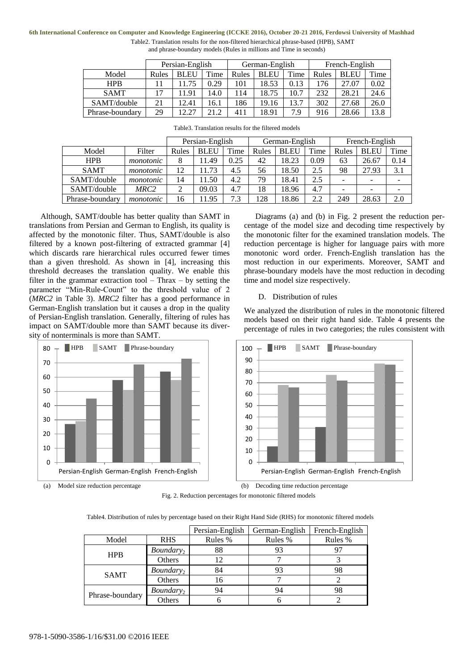#### **6th International Conference on Computer and Knowledge Engineering (ICCKE 2016), October 20-21 2016, Ferdowsi University of Mashhad**

| Table 2. Translation results for the non-filtered hierarchical phrase-based (HPB), SAMT |
|-----------------------------------------------------------------------------------------|
| and phrase-boundary models (Rules in millions and Time in seconds)                      |

|                 | Persian-English |             |      | German-English |       |      | French-English |             |      |
|-----------------|-----------------|-------------|------|----------------|-------|------|----------------|-------------|------|
| Model           | Rules           | <b>BLEU</b> | Time | Rules          | BLEU  | Time | Rules          | <b>BLEU</b> | Time |
| <b>HPB</b>      |                 |             | 0.29 | 101            | 18.53 | 0.13 | 76             | 27.07       | 0.02 |
| <b>SAMT</b>     |                 | 11.91       | 14.0 | 114            | 18.75 | 10.7 | 232            | 28.21       | 24.6 |
| SAMT/double     | 21              | 12.41       | 16.1 | 186            | 19.16 | 13.7 | 302            | 27.68       | 26.0 |
| Phrase-boundary | 29              | 12.27       | 21.2 | 411            | 18.91 | 7.9  | 916            | 28.66       | 13.8 |

|                 |           | Persian-English |             |      | German-English |             |      | French-English |             |      |
|-----------------|-----------|-----------------|-------------|------|----------------|-------------|------|----------------|-------------|------|
| Model           | Filter    | Rules           | <b>BLEU</b> | Time | Rules          | <b>BLEU</b> | Time | Rules          | <b>BLEU</b> | Time |
| <b>HPB</b>      | monotonic | 8               | 11.49       | 0.25 | 42             | 18.23       | 0.09 | 63             | 26.67       | 0.14 |
| <b>SAMT</b>     | monotonic | 12              | 11.73       | 4.5  | 56             | 18.50       | 2.5  | 98             | 27.93       | 3.1  |
| SAMT/double     | monotonic | 14              | 11.50       | 4.2  | 79             | 18.41       | 2.5  |                |             |      |
| SAMT/double     | MRC2      | $\overline{c}$  | 09.03       | 4.7  | 18             | 18.96       | 4.7  |                |             |      |
| Phrase-boundary | monotonic | 16              | 11.95       | 7.3  | 128            | 18.86       | 2.2  | 249            | 28.63       | 2.0  |

| Table3. Translation results for the filtered models |
|-----------------------------------------------------|
|-----------------------------------------------------|

Although, SAMT/double has better quality than SAMT in translations from Persian and German to English, its quality is affected by the monotonic filter. Thus, SAMT/double is also filtered by a known post-filtering of extracted grammar [4] which discards rare hierarchical rules occurred fewer times than a given threshold. As shown in [4], increasing this threshold decreases the translation quality. We enable this filter in the grammar extraction tool – Thrax – by setting the parameter "Min-Rule-Count" to the threshold value of 2 (*MRC2* in Table 3). *MRC2* filter has a good performance in German-English translation but it causes a drop in the quality of Persian-English translation. Generally, filtering of rules has impact on SAMT/double more than SAMT because its diversity of nonterminals is more than SAMT.



(a) Model size reduction percentage (b) Decoding time reduction percentage

Diagrams (a) and (b) in Fig. 2 present the reduction percentage of the model size and decoding time respectively by the monotonic filter for the examined translation models. The reduction percentage is higher for language pairs with more monotonic word order. French-English translation has the most reduction in our experiments. Moreover, SAMT and phrase-boundary models have the most reduction in decoding time and model size respectively.

## D. Distribution of rules

We analyzed the distribution of rules in the monotonic filtered models based on their right hand side. Table 4 presents the percentage of rules in two categories; the rules consistent with



Fig. 2. Reduction percentages for monotonic filtered models

Table4. Distribution of rules by percentage based on their Right Hand Side (RHS) for monotonic filtered models

|                 |              | Persian-English | German-English | French-English |
|-----------------|--------------|-----------------|----------------|----------------|
| Model           | <b>RHS</b>   | Rules %         | Rules %        |                |
| <b>HPB</b>      | $Boundary_2$ | 88              | 93             |                |
|                 | Others       |                 |                |                |
| <b>SAMT</b>     | $Boundary_2$ | 84              | 93             | 98             |
|                 | Others       | 16              |                |                |
| Phrase-boundary | $Boundary_2$ | 94              | 94             | 98             |
|                 | Others       |                 |                |                |